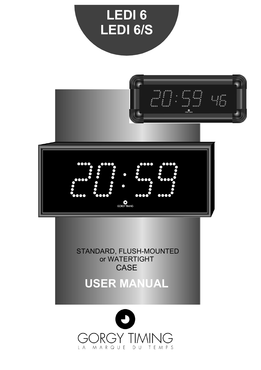

**USER MANUAL**

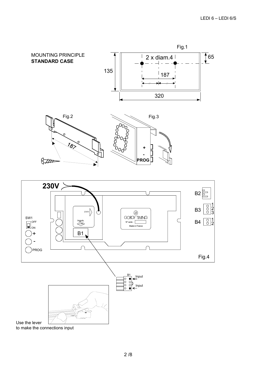



to make the connections input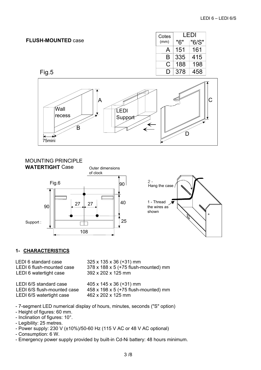## **FLUSH-MOUNTED** case

Fig.5

| "6/S"      |
|------------|
|            |
|            |
| 198        |
|            |
| 415<br>458 |



# MOUNTING PRINCIPLE





## **1- CHARACTERISTICS**

LEDI 6 standard case 325 x 135 x 36 (+31) mm LEDI 6 flush-mounted case 378 x 188 x 5 (+75 flush-mounted) mm LEDI 6 watertight case 392 x 202 x 125 mm

LEDI 6/S standard case  $405 \times 145 \times 36 (+31)$  mm LEDI 6/S flush-mounted case 458 x 198 x 5 (+75 flush-mounted) mm LEDI 6/S watertight case 462 x 202 x 125 mm

- 7-segment LED numerical display of hours, minutes, seconds ("S" option)
- Height of figures: 60 mm.
- Inclination of figures: 10°.
- Legibility: 25 metres.
- Power supply: 230 V (±10%)/50-60 Hz (115 V AC or 48 V AC optional)
- Consumption: 6 W.
- Emergency power supply provided by built-in Cd-Ni battery: 48 hours minimum.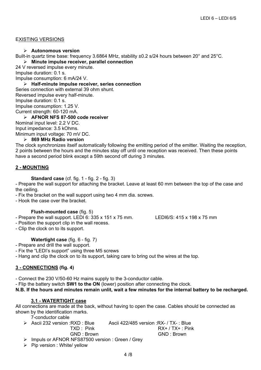### EXISTING VERSIONS

#### ¾ **Autonomous version**

Built-in quartz time base: frequency 3.6864 MHz, stability ±0.2 s/24 hours between 20° and 25°C.

¾ **Minute impulse receiver, parallel connection** 

24 V reversed impulse every minute. Impulse duration: 0.1 s.

Impulse consumption: 6 mA/24 V.

¾ **Half-minute impulse receiver, series connection** 

Series connection with external 39 ohm shunt. Reversed impulse every half-minute. Impulse duration: 0.1 s. Impulse consumption: 1.25 V. Current strength: 60-120 mA.

¾ **AFNOR NFS 87-500 code receiver** 

Nominal input level: 2.2 V DC. Input impedance: 3.5 kOhms.

Minimum input voltage: 70 mV DC.

¾ **869 MHz Radio version** 

The clock synchronizes itself automatically following the emitting period of the emitter. Waiting the reception, 2 points between the hours and the minutes stay off until one reception was received. Then these points have a second period blink except a 59th second off during 3 minutes.

## **2 - MOUNTING**

**Standard case** (cf. fig. 1 - fig. 2 - fig. 3)

- Prepare the wall support for attaching the bracket. Leave at least 60 mm between the top of the case and the ceiling.

- Fix the bracket on the wall support using two 4 mm dia. screws.

- Hook the case over the bracket.

## **Flush-mounted case** (fig. 5)

- Prepare the wall support. LEDI 6: 335 x 151 x 75 mm. LEDI6/S: 415 x 198 x 75 mm

- Position the support clip in the wall recess.

- Clip the clock on to its support.

## **Watertight case** (fig. 6 - fig. 7)

- Prepare and drill the wall support.

- Fix the "LEDI's support" using three M5 screws

- Hang and clip the clock on to its support, taking care to bring out the wires at the top.

## **3 - CONNECTIONS (fig. 4)**

- Connect the 230 V/50-60 Hz mains supply to the 3-conductor cable.

- Flip the battery switch **SW1 to the ON** (lower) position after connecting the clock.

**N.B. If the hours and minutes remain unlit, wait a few minutes for the internal battery to be recharged.**

## **3.1 - WATERTIGHT case**

All connections are made at the back, without having to open the case. Cables should be connected as shown by the identification marks.

7-conductor cable

| $\triangleright$ Ascii 232 version : RXD : Blue   | Ascii 422/485 version : RX- / TX- : Blue |
|---------------------------------------------------|------------------------------------------|
| TXD: Pink                                         | $RX+ / TX+ : Pink$                       |
| GND : Brown                                       | GND : Brown                              |
| > Impuls or AFNOR NFS87500 version : Green / Grey |                                          |

 $\triangleright$  Pip version : White/ yellow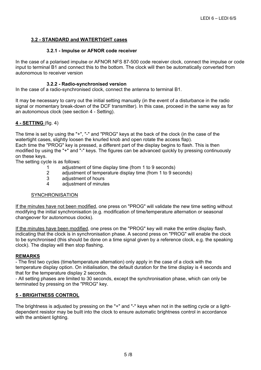## **3.2 - STANDARD and WATERTIGHT cases**

### **3.2.1 - Impulse or AFNOR code receiver**

In the case of a polarised impulse or AFNOR NFS 87-500 code receiver clock, connect the impulse or code input to terminal B1 and connect this to the bottom. The clock will then be automatically converted from autonomous to receiver version

### **3.2.2 - Radio-synchronised version**

In the case of a radio-synchronised clock, connect the antenna to terminal B1.

It may be necessary to carry out the initial setting manually (in the event of a disturbance in the radio signal or momentary break-down of the DCF transmitter). In this case, proceed in the same way as for an autonomous clock (see section 4 - Setting).

## **4 - SETTING** (fig. 4)

The time is set by using the "+", "-" and "PROG" keys at the back of the clock (in the case of the watertight cases, slightly loosen the knurled knob and open rotate the access flap). Each time the "PROG" key is pressed, a different part of the display begins to flash. This is then modified by using the "+" and "-" keys. The figures can be advanced quickly by pressing continuously on these keys.

The setting cycle is as follows:

- 1 adjustment of time display time (from 1 to 9 seconds)
- 2 adjustment of temperature display time (from 1 to 9 seconds)
- 3 adjustment of hours
- 4 adjustment of minutes

#### **SYNCHRONISATION**

If the minutes have not been modified, one press on "PROG" will validate the new time setting without modifying the initial synchronisation (e.g. modification of time/temperature alternation or seasonal changeover for autonomous clocks).

If the minutes have been modified, one press on the "PROG" key will make the entire display flash, indicating that the clock is in synchronisation phase. A second press on "PROG" will enable the clock to be synchronised (this should be done on a time signal given by a reference clock, e.g. the speaking clock). The display will then stop flashing.

#### **REMARKS**

- The first two cycles (time/temperature alternation) only apply in the case of a clock with the temperature display option. On initialisation, the default duration for the time display is 4 seconds and that for the temperature display 2 seconds.

- All setting phases are limited to 30 seconds, except the synchronisation phase, which can only be terminated by pressing on the "PROG" key.

#### **5 - BRIGHTNESS CONTROL**

The brightness is adjusted by pressing on the "+" and "-" keys when not in the setting cycle or a lightdependent resistor may be built into the clock to ensure automatic brightness control in accordance with the ambient lighting.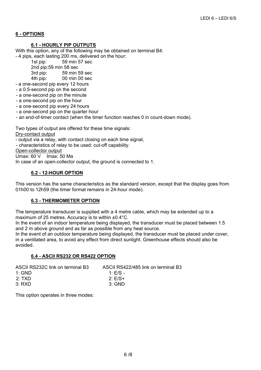## **6 - OPTIONS**

## **6.1 - HOURLY PIP OUTPUTS**

With this option, any of the following may be obtained on terminal B4: - 4 pips, each lasting 200 ms, delivered on the hour:

> 1st pip: 59 min 57 sec 2nd pip:59 min 58 sec

3rd pip: 59 min 59 sec

4th pip: 00 min 00 sec

- a one-second pip every 12 hours

- a 0.5-second pip on the second
- a one-second pip on the minute
- a one-second pip on the hour
- a one-second pip every 24 hours
- a one-second pip on the quarter hour
- an end-of-timer contact (when the timer function reaches 0 in count-down mode).

Two types of output are offered for these time signals:

Dry-contact output

- output via a relay, with contact closing on each time signal,

- characteristics of relay to be used: cut-off capability.

Open-collector output<br>Umax: 60 V Imax: 5

 $Imax: 50$  Ma

In case of an open-collector output, the ground is connected to 1.

## **6.2 - 12-HOUR OPTION**

This version has the same characteristics as the standard version, except that the display goes from 01h00 to 12h59 (the timer format remains in 24-hour mode).

## **6.3 - THERMOMETER OPTION**

The temperature transducer is supplied with a 4 metre cable, which may be extended up to a maximum of 25 metres. Accuracy is to within ±0.4°C.

In the event of an indoor temperature being displayed, the transducer must be placed between 1.5 and 2 m above ground and as far as possible from any heat source.

In the event of an outdoor temperature being displayed, the transducer must be placed under cover, in a ventilated area, to avoid any effect from direct sunlight. Greenhouse effects should also be avoided.

## **6.4 - ASCII RS232 OR RS422 OPTION**

| ASCII RS422/485 link on terminal B3 |
|-------------------------------------|
| $1 \cdot F/S$ -                     |
| $2: E/S+$                           |
| $3^{\circ}$ GND                     |
|                                     |

This option operates in three modes: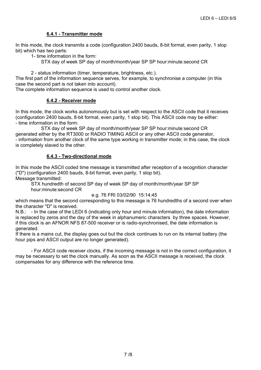## **6.4.1 - Transmitter mode**

In this mode, the clock transmits a code (configuration 2400 bauds, 8-bit format, even parity, 1 stop bit) which has two parts:

1- time information in the form:

STX day of week SP day of month/month/year SP SP hour:minute:second CR

2 - status information (timer, temperature, brightness, etc.).

The first part of the information sequence serves, for example, to synchronise a computer (in this case the second part is not taken into account).

The complete information sequence is used to control another clock.

## **6.4.2 - Receiver mode**

In this mode, the clock works autonomously but is set with respect to the ASCII code that it receives (configuration 2400 bauds, 8-bit format, even parity, 1 stop bit). This ASCII code may be either: - time information in the form:

STX day of week SP day of month/month/year SP SP hour:minute:second CR generated either by the RT3000 or RADIO TIMING ASCII or any other ASCII code generator, - information from another clock of the same type working in transmitter mode; in this case, the clock is completely slaved to the other.

## **6.4.3 - Two-directional mode**

In this mode the ASCII coded time message is transmitted after reception of a recognition character ("D") (configuration 2400 bauds, 8-bit format, even parity, 1 stop bit). Message transmitted:

 STX hundredth of second SP day of week SP day of month/month/year SP SP hour:minute:second CR

#### e.g. 76 FRI 03/02/90 15:14:45

which means that the second corresponding to this message is 76 hundredths of a second over when the character "D" is received.

N.B.: - In the case of the LEDI 6 (indicating only hour and minute information), the date information is replaced by zeros and the day of the week in alphanumeric characters by three spaces. However, if this clock is an AFNOR NFS 87-500 receiver or is radio-synchronised, the date information is generated.

If there is a mains cut, the display goes out but the clock continues to run on its internal battery (the hour pips and ASCII output are no longer generated).

 - For ASCII code receiver clocks, if the incoming message is not in the correct configuration, it may be necessary to set the clock manually. As soon as the ASCII message is received, the clock compensates for any difference with the reference time.